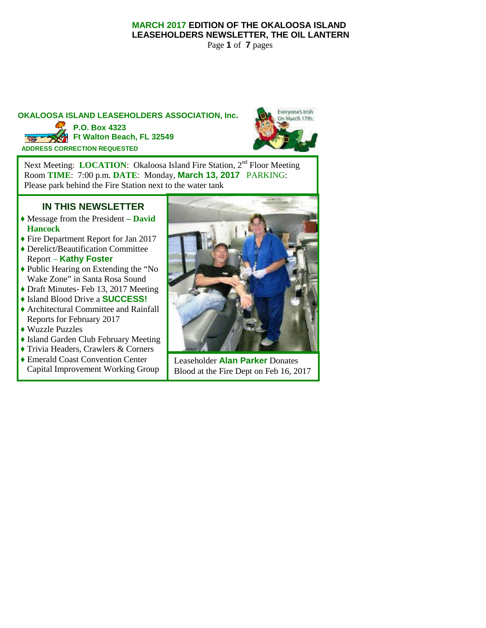### **MARCH 2017 EDITION OF THE OKALOOSA ISLAND LEASEHOLDERS NEWSLETTER, THE OIL LANTERN**

Page **1** of **7** pages

### **OKALOOSA ISLAND LEASEHOLDERS ASSOCIATION, Inc. ADDRESS CORRECTION REQUESTED P.O. Box 4323** Ft Walton Beach, FL 32549



Next Meeting: **LOCATION**: Okaloosa Island Fire Station, 2<sup>nd</sup> Floor Meeting Room **TIME**: 7:00 p.m. **DATE**: Monday, **March 13, 2017** PARKING: Please park behind the Fire Station next to the water tank

# **IN THIS NEWSLETTER**

- ♦ Message from the President **– David Hancock**
- ♦ Fire Department Report for Jan 2017
- ♦ Derelict/Beautification Committee Report – **Kathy Foster**
- ♦ Public Hearing on Extending the "No Wake Zone" in Santa Rosa Sound
- ♦ Draft Minutes- Feb 13, 2017 Meeting
- ♦ Island Blood Drive a **SUCCESS!**
- ♦ Architectural Committee and Rainfall Reports for February 2017
- ♦ Wuzzle Puzzles
- ♦ Island Garden Club February Meeting
- ♦ Trivia Headers, Crawlers & Corners
- ♦ Emerald Coast Convention Center Capital Improvement Working Group



Leaseholder **Alan Parker** Donates Blood at the Fire Dept on Feb 16, 2017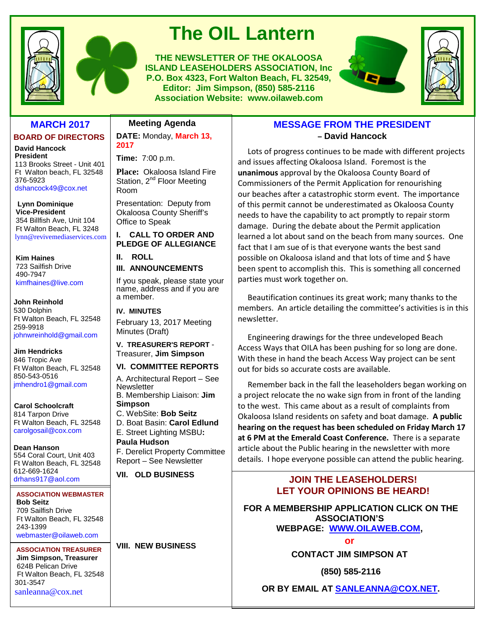



# **The OIL Lantern**

**THE NEWSLETTER OF THE OKALOOSA ISLAND LEASEHOLDERS ASSOCIATION, Inc P.O. Box 4323, Fort Walton Beach, FL 32549, Editor: Jim Simpson, (850) 585-2116 Association Website: www.oilaweb.com**





### **MARCH 2017**

### **BOARD OF DIRECTORS**

**David Hancock President** 113 Brooks Street - Unit 401 Ft Walton beach, FL 32548 376-5923 dshancock49@cox.net

**Lynn Dominique Vice-President** 354 Billfish Ave, Unit 104 Ft Walton Beach, FL 3248 lynn@revivemediaservices.com

**Kim Haines** 723 Sailfish Drive 490-7947 kimfhaines@live.com

**John Reinhold** 530 Dolphin Ft Walton Beach, FL 32548 259-9918 johnwreinhold@gmail.com

**Jim Hendricks** 846 Tropic Ave Ft Walton Beach, FL 32548 850-543-0516 jmhendro1@gmail.com

**Carol Schoolcraft** 814 Tarpon Drive Ft Walton Beach, FL 32548 carolgosail@cox.com

**Dean Hanson** 554 Coral Court, Unit 403 Ft Walton Beach, FL 32548 612-669-1624 drhans917@aol.com

#### **ASSOCIATION WEBMASTER Bob Seitz** 709 Sailfish Drive Ft Walton Beach, FL 32548 243-1399 webmaster@oilaweb.com

**ASSOCIATION TREASURER Jim Simpson, Treasurer** 624B Pelican Drive Ft Walton Beach, FL 32548 301-3547 sanleanna@cox.net

## **Meeting Agenda**

**DATE:** Monday, **March 13, 2017**

**Time:** 7:00 p.m.

**Place:** Okaloosa Island Fire Station, 2<sup>nd</sup> Floor Meeting Room

Presentation: Deputy from Okaloosa County Sheriff's Office to Speak

**I. CALL TO ORDER AND PLEDGE OF ALLEGIANCE**

**II. ROLL III. ANNOUNCEMENTS**

If you speak, please state your name, address and if you are a member.

**IV. MINUTES** February 13, 2017 Meeting Minutes (Draft)

**V. TREASURER'S REPORT** - Treasurer, **Jim Simpson**

### **VI. COMMITTEE REPORTS**

A. Architectural Report – See **Newsletter** B. Membership Liaison: **Jim Simpson**

C. WebSite: **Bob Seitz** D. Boat Basin: **Carol Edlund** E. Street Lighting MSBU**:**

**Paula Hudson** F. Derelict Property Committee Report – See Newsletter

**VII. OLD BUSINESS**

**VIII. NEW BUSINESS**

### **MESSAGE FROM THE PRESIDENT – David Hancock**

Lots of progress continues to be made with different projects and issues affecting Okaloosa Island. Foremost is the **unanimous** approval by the Okaloosa County Board of Commissioners of the Permit Application for renourishing our beaches after a catastrophic storm event. The importance of this permit cannot be underestimated as Okaloosa County needs to have the capability to act promptly to repair storm damage. During the debate about the Permit application learned a lot about sand on the beach from many sources. One fact that I am sue of is that everyone wants the best sand possible on Okaloosa island and that lots of time and \$ have been spent to accomplish this. This is something all concerned parties must work together on.

Beautification continues its great work; many thanks to the members. An article detailing the committee's activities is in this newsletter.

Engineering drawings for the three undeveloped Beach Access Ways that OILA has been pushing for so long are done. With these in hand the beach Access Way project can be sent out for bids so accurate costs are available.

Remember back in the fall the leaseholders began working on a project relocate the no wake sign from in front of the landing to the west. This came about as a result of complaints from Okaloosa Island residents on safety and boat damage. **A public hearing on the request has been scheduled on Friday March 17 at 6 PM at the Emerald Coast Conference.** There is a separate article about the Public hearing in the newsletter with more details. I hope everyone possible can attend the public hearing.

# **JOIN THE LEASEHOLDERS! LET YOUR OPINIONS BE HEARD!**

**FOR A MEMBERSHIP APPLICATION CLICK ON THE ASSOCIATION'S WEBPAGE: WWW.OILAWEB.COM,**

**or**

**CONTACT JIM SIMPSON AT**

**(850) 585-2116**

**OR BY EMAIL AT SANLEANNA@COX.NET.**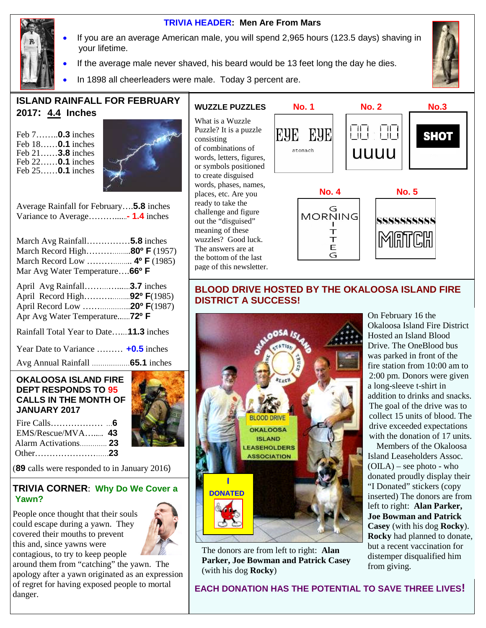

### **TRIVIA HEADER: Men Are From Mars**

- If you are an average American male, you will spend 2,965 hours (123.5 days) shaving in your lifetime.
- If the average male never shaved, his beard would be 13 feet long the day he dies.
- In 1898 all cheerleaders were male. Today 3 percent are.



# **ISLAND RAINFALL FOR FEBRUARY 2017: 4.4 Inches**

Feb 7……..**0.3** inches Feb 18……**0.1** inches Feb 21……**3.8** inches Feb 22……**0.1** inches Feb 25……**0.1** inches



Average Rainfall for February….**5.8** inches Variance to Average………......**- 1.4** inches

| March Avg Rainfall5.8 inches<br>March Record High80° F (1957)<br>March Record Low  4º F (1985)<br>Mar Avg Water Temperature66° F |  |
|----------------------------------------------------------------------------------------------------------------------------------|--|
| April Record High92º F(1985)<br>April Record Low 20° F(1987)<br>Apr Avg Water Temperature72º F                                   |  |
| Rainfall Total Year to Date11.3 inches                                                                                           |  |
| Year Date to Variance  +0.5 inches                                                                                               |  |
|                                                                                                                                  |  |

### **OKALOOSA ISLAND FIRE DEPT RESPONDS TO 95 CALLS IN THE MONTH OF JANUARY 2017**

| $EMS/Rescue/MVA$ 43  |  |
|----------------------|--|
| Alarm Activations 23 |  |
|                      |  |

(**89** calls were responded to in January 2016)

### **TRIVIA CORNER**: **Why Do We Cover a Yawn?**

People once thought that their souls could escape during a yawn. They covered their mouths to prevent this and, since yawns were contagious, to try to keep people



around them from "catching" the yawn. The apology after a yawn originated as an expression of regret for having exposed people to mortal danger.

### **WUZZLE PUZZLES**

What is a Wuzzle Puzzle? It is a puzzle consisting of combinations of words, letters, figures, or symbols positioned to create disguised words, phases, names, places, etc. Are you ready to take the challenge and figure out the "disguised" meaning of these wuzzles? Good luck. The answers are at the bottom of the last page of this newsletter.



### **BLOOD DRIVE HOSTED BY THE OKALOOSA ISLAND FIRE DISTRICT A SUCCESS!**



The donors are from left to right: **Alan Parker, Joe Bowman and Patrick Casey** (with his dog **Rocky**)

On February 16 the Okaloosa Island Fire District Hosted an Island Blood Drive. The OneBlood bus was parked in front of the fire station from 10:00 am to 2:00 pm. Donors were given a long-sleeve t-shirt in addition to drinks and snacks. The goal of the drive was to collect 15 units of blood. The drive exceeded expectations with the donation of 17 units.

Members of the Okaloosa Island Leaseholders Assoc.  $(OILA)$  – see photo - who donated proudly display their "I Donated" stickers (copy inserted) The donors are from left to right: **Alan Parker, Joe Bowman and Patrick Casey** (with his dog **Rocky**). **Rocky** had planned to donate, but a recent vaccination for distemper disqualified him from giving.

**EACH DONATION HAS THE POTENTIAL TO SAVE THREE LIVES!**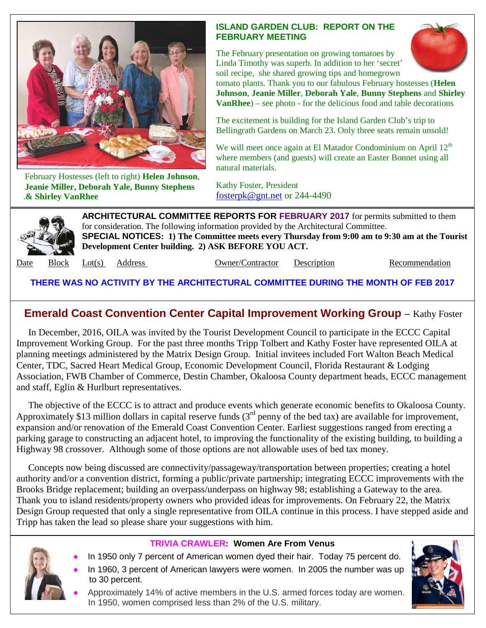

February Hostesses (left to right) **Helen Johnson**, **Jeanie Miller, Deborah Yale, Bunny Stephens** .**& Shirley VanRhee**

### **ISLAND GARDEN CLUB: REPORT ON THE FEBRUARY MEETING**

The February presentation on growing tomatoes by Linda Timothy was superb. In addition to her 'secret' soil recipe, she shared growing tips and homegrown



tomato plants. Thank you to our fabulous February hostesses (**Helen Johnson**, **Jeanie Miller**, **Deborah Yale**, **Bunny Stephens** and **Shirley VanRhee**) – see photo - for the delicious food and table decorations

The excitement is building for the Island Garden Club's trip to Bellingrath Gardens on March 23. Only three seats remain unsold!

We will meet once again at El Matador Condominium on April  $12<sup>th</sup>$ where members (and guests) will create an Easter Bonnet using all natural materials.

Kathy Foster, President fosterpk@gnt.net or 244-4490



**ARCHITECTURAL COMMITTEE REPORTS FOR FEBRUARY 2017** for permits submitted to them for consideration. The following information provided by the Architectural Committee. **SPECIAL NOTICES: 1) The Committee meets every Thursday from 9:00 am to 9:30 am at the Tourist Development Center building. 2) ASK BEFORE YOU ACT.**

Date Block Lot(s) Address **Owner/Contractor** Description Recommendation

**THERE WAS NO ACTIVITY BY THE ARCHITECTURAL COMMITTEE DURING THE MONTH OF FEB 2017**

# **Emerald Coast Convention Center Capital Improvement Working Group** – Kathy Foster

In December, 2016, OILA was invited by the Tourist Development Council to participate in the ECCC Capital Improvement Working Group. For the past three months Tripp Tolbert and Kathy Foster have represented OILA at planning meetings administered by the Matrix Design Group. Initial invitees included Fort Walton Beach Medical Center, TDC, Sacred Heart Medical Group, Economic Development Council, Florida Restaurant & Lodging Association, FWB Chamber of Commerce, Destin Chamber, Okaloosa County department heads, ECCC management and staff, Eglin & Hurlburt representatives.

The objective of the ECCC is to attract and produce events which generate economic benefits to Okaloosa County. Approximately \$13 million dollars in capital reserve funds  $3<sup>rd</sup>$  penny of the bed tax) are available for improvement, expansion and/or renovation of the Emerald Coast Convention Center. Earliest suggestions ranged from erecting a parking garage to constructing an adjacent hotel, to improving the functionality of the existing building, to building a Highway 98 crossover. Although some of those options are not allowable uses of bed tax money.

Concepts now being discussed are connectivity/passageway/transportation between properties; creating a hotel authority and/or a convention district, forming a public/private partnership; integrating ECCC improvements with the Brooks Bridge replacement; building an overpass/underpass on highway 98; establishing a Gateway to the area. Thank you to island residents/property owners who provided ideas for improvements. On February 22, the Matrix Design Group requested that only a single representative from OILA continue in this process. I have stepped aside and Tripp has taken the lead so please share your suggestions with him.



# **TRIVIA CRAWLER: Women Are From Venus**

- In 1950 only 7 percent of American women dyed their hair. Today 75 percent do.
- In 1960, 3 percent of American lawyers were women. In 2005 the number was up to 30 percent.



 Approximately 14% of active members in the U.S. armed forces today are women. In 1950, women comprised less than 2% of the U.S. military.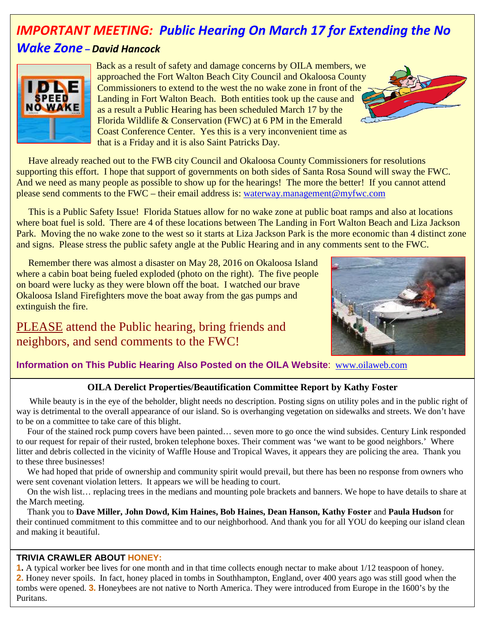# *IMPORTANT MEETING: Public Hearing On March 17 for Extending the No*

# *Wake Zone – David Hancock*



Back as a result of safety and damage concerns by OILA members, we approached the Fort Walton Beach City Council and Okaloosa County Commissioners to extend to the west the no wake zone in front of the Landing in Fort Walton Beach. Both entities took up the cause and as a result a Public Hearing has been scheduled March 17 by the Florida Wildlife & Conservation (FWC) at 6 PM in the Emerald Coast Conference Center. Yes this is a very inconvenient time as that is a Friday and it is also Saint Patricks Day.

Have already reached out to the FWB city Council and Okaloosa County Commissioners for resolutions supporting this effort. I hope that support of governments on both sides of Santa Rosa Sound will sway the FWC. And we need as many people as possible to show up for the hearings! The more the better! If you cannot attend please send comments to the FWC – their email address is: waterway.management@myfwc.com

This is a Public Safety Issue! Florida Statues allow for no wake zone at public boat ramps and also at locations where boat fuel is sold. There are 4 of these locations between The Landing in Fort Walton Beach and Liza Jackson Park. Moving the no wake zone to the west so it starts at Liza Jackson Park is the more economic than 4 distinct zone and signs. Please stress the public safety angle at the Public Hearing and in any comments sent to the FWC.

Remember there was almost a disaster on May 28, 2016 on Okaloosa Island where a cabin boat being fueled exploded (photo on the right). The five people on board were lucky as they were blown off the boat. I watched our brave Okaloosa Island Firefighters move the boat away from the gas pumps and extinguish the fire.

PLEASE attend the Public hearing, bring friends and neighbors, and send comments to the FWC!



### **Information on This Public Hearing Also Posted on the OILA Website**: www.oilaweb.com

### **OILA Derelict Properties/Beautification Committee Report by Kathy Foster**

While beauty is in the eye of the beholder, blight needs no description. Posting signs on utility poles and in the public right of way is detrimental to the overall appearance of our island. So is overhanging vegetation on sidewalks and streets. We don't have to be on a committee to take care of this blight.

Four of the stained rock pump covers have been painted… seven more to go once the wind subsides. Century Link responded to our request for repair of their rusted, broken telephone boxes. Their comment was 'we want to be good neighbors.' Where litter and debris collected in the vicinity of Waffle House and Tropical Waves, it appears they are policing the area. Thank you to these three businesses!

We had hoped that pride of ownership and community spirit would prevail, but there has been no response from owners who were sent covenant violation letters. It appears we will be heading to court.

On the wish list… replacing trees in the medians and mounting pole brackets and banners. We hope to have details to share at the March meeting.

Thank you to **Dave Miller, John Dowd, Kim Haines, Bob Haines, Dean Hanson, Kathy Foster** and **Paula Hudson** for their continued commitment to this committee and to our neighborhood. And thank you for all YOU do keeping our island clean and making it beautiful.

### **TRIVIA CRAWLER ABOUT HONEY:**

**1.** A typical worker bee lives for one month and in that time collects enough nectar to make about 1/12 teaspoon of honey. **2.** Honey never spoils. In fact, honey placed in tombs in Southhampton, England, over 400 years ago was still good when the tombs were opened. **3.** Honeybees are not native to North America. They were introduced from Europe in the 1600's by the Puritans.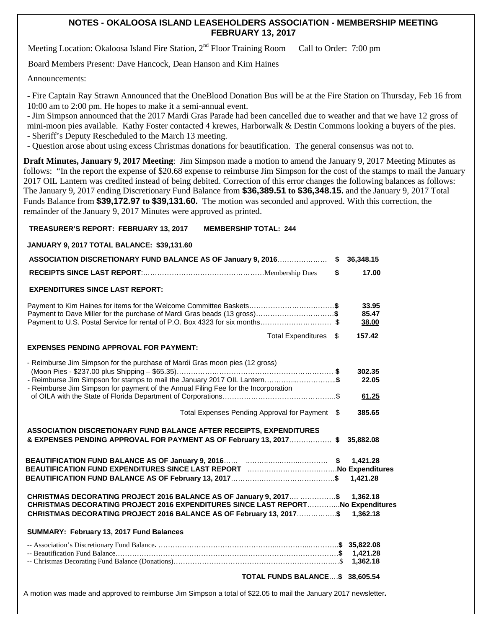### **NOTES - OKALOOSA ISLAND LEASEHOLDERS ASSOCIATION - MEMBERSHIP MEETING FEBRUARY 13, 2017**

Meeting Location: Okaloosa Island Fire Station, 2<sup>nd</sup> Floor Training Room Call to Order: 7:00 pm

Board Members Present: Dave Hancock, Dean Hanson and Kim Haines

Announcements:

- Fire Captain Ray Strawn Announced that the OneBlood Donation Bus will be at the Fire Station on Thursday, Feb 16 from 10:00 am to 2:00 pm. He hopes to make it a semi-annual event.

- Jim Simpson announced that the 2017 Mardi Gras Parade had been cancelled due to weather and that we have 12 gross of mini-moon pies available. Kathy Foster contacted 4 krewes, Harborwalk & Destin Commons looking a buyers of the pies.

- Sheriff's Deputy Rescheduled to the March 13 meeting.

- Question arose about using excess Christmas donations for beautification. The general consensus was not to.

**Draft Minutes, January 9, 2017 Meeting**: Jim Simpson made a motion to amend the January 9, 2017 Meeting Minutes as follows: "In the report the expense of \$20.68 expense to reimburse Jim Simpson for the cost of the stamps to mail the January 2017 OIL Lantern was credited instead of being debited. Correction of this error changes the following balances as follows: The January 9, 2017 ending Discretionary Fund Balance from **\$36,389.51 to \$36,348.15.** and the January 9, 2017 Total Funds Balance from **\$39,172.97 to \$39,131.60.** The motion was seconded and approved. With this correction, the remainder of the January 9, 2017 Minutes were approved as printed.

### **TREASURER'S REPORT: FEBRUARY 13, 2017 MEMBERSHIP TOTAL: 244**

#### **JANUARY 9, 2017 TOTAL BALANCE: \$39,131.60**

| ASSOCIATION DISCRETIONARY FUND BALANCE AS OF January 9, 2016                                                                                                                                                                                   | \$<br>36,348.15          |
|------------------------------------------------------------------------------------------------------------------------------------------------------------------------------------------------------------------------------------------------|--------------------------|
|                                                                                                                                                                                                                                                | \$<br>17.00              |
| <b>EXPENDITURES SINCE LAST REPORT:</b>                                                                                                                                                                                                         |                          |
| Payment to Dave Miller for the purchase of Mardi Gras beads (13 gross)\$<br>Payment to U.S. Postal Service for rental of P.O. Box 4323 for six months\$                                                                                        | 33.95<br>85.47<br>38.00  |
| Total Expenditures \$                                                                                                                                                                                                                          | 157.42                   |
| <b>EXPENSES PENDING APPROVAL FOR PAYMENT:</b>                                                                                                                                                                                                  |                          |
| - Reimburse Jim Simpson for the purchase of Mardi Gras moon pies (12 gross)<br>- Reimburse Jim Simpson for stamps to mail the January 2017 OIL Lantern\$<br>- Reimburse Jim Simpson for payment of the Annual Filing Fee for the Incorporation | 302.35<br>22.05<br>61.25 |
| Total Expenses Pending Approval for Payment \$                                                                                                                                                                                                 | 385.65                   |
| ASSOCIATION DISCRETIONARY FUND BALANCE AFTER RECEIPTS, EXPENDITURES<br>& EXPENSES PENDING APPROVAL FOR PAYMENT AS OF February 13, 2017\$                                                                                                       | 35,882.08                |
|                                                                                                                                                                                                                                                | 1,421.28<br>1,421.28     |
| CHRISTMAS DECORATING PROJECT 2016 BALANCE AS OF January 9, 2017 \$<br>CHRISTMAS DECORATING PROJECT 2016 EXPENDITURES SINCE LAST REPORTNo Expenditures<br>CHRISTMAS DECORATING PROJECT 2016 BALANCE AS OF February 13, 2017\$                   | 1.362.18<br>1,362.18     |
| SUMMARY: February 13, 2017 Fund Balances                                                                                                                                                                                                       |                          |
|                                                                                                                                                                                                                                                | 1,421.28<br>1,362.18     |
| TOTAL FUNDS BALANCE\$ 38,605.54                                                                                                                                                                                                                |                          |

A motion was made and approved to reimburse Jim Simpson a total of \$22.05 to mail the January 2017 newsletter**.**